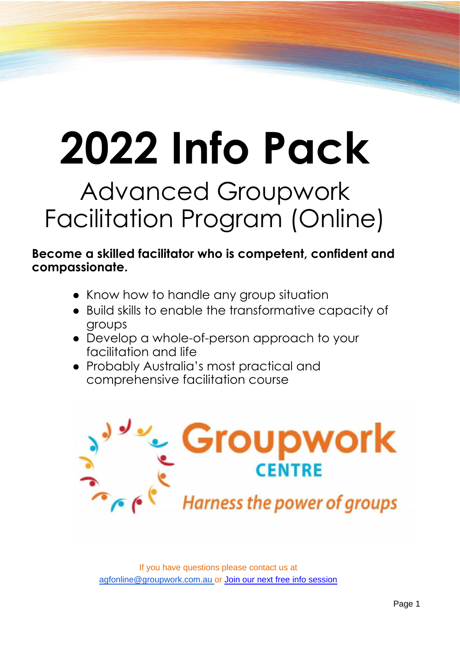# **2022 Info Pack**

## Advanced Groupwork Facilitation Program (Online)

#### **Become a skilled facilitator who is competent, confident and compassionate.**

- Know how to handle any group situation
- Build skills to enable the transformative capacity of groups
- Develop a whole-of-person approach to your facilitation and life
- Probably Australia's most practical and comprehensive facilitation course

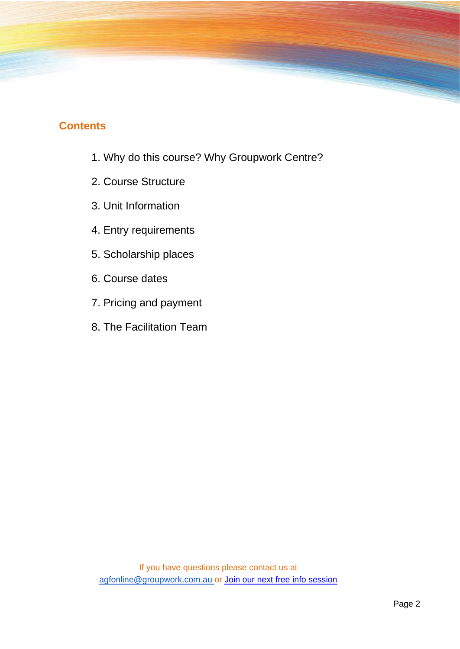#### **Contents**

- 1. Why do this course? Why Groupwork Centre?
- 2. Course Structure
- 3. Unit Information
- 4. Entry requirements
- 5. Scholarship places
- 6. Course dates
- 7. Pricing and payment
- 8. The Facilitation Team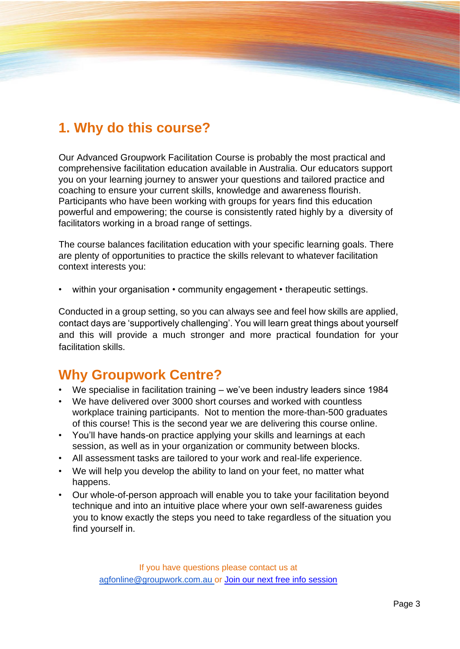## **1. Why do this course?**

Our Advanced Groupwork Facilitation Course is probably the most practical and comprehensive facilitation education available in Australia. Our educators support you on your learning journey to answer your questions and tailored practice and coaching to ensure your current skills, knowledge and awareness flourish. Participants who have been working with groups for years find this education powerful and empowering; the course is consistently rated highly by a diversity of facilitators working in a broad range of settings.

The course balances facilitation education with your specific learning goals. There are plenty of opportunities to practice the skills relevant to whatever facilitation context interests you:

within your organisation • community engagement • therapeutic settings.

Conducted in a group setting, so you can always see and feel how skills are applied, contact days are 'supportively challenging'. You will learn great things about yourself and this will provide a much stronger and more practical foundation for your facilitation skills.

## **Why Groupwork Centre?**

- We specialise in facilitation training we've been industry leaders since 1984
- We have delivered over 3000 short courses and worked with countless workplace training participants. Not to mention the more-than-500 graduates of this course! This is the second year we are delivering this course online.
- You'll have hands-on practice applying your skills and learnings at each session, as well as in your organization or community between blocks.
- All assessment tasks are tailored to your work and real-life experience.
- We will help you develop the ability to land on your feet, no matter what happens.
- Our whole-of-person approach will enable you to take your facilitation beyond technique and into an intuitive place where your own self-awareness guides you to know exactly the steps you need to take regardless of the situation you find yourself in.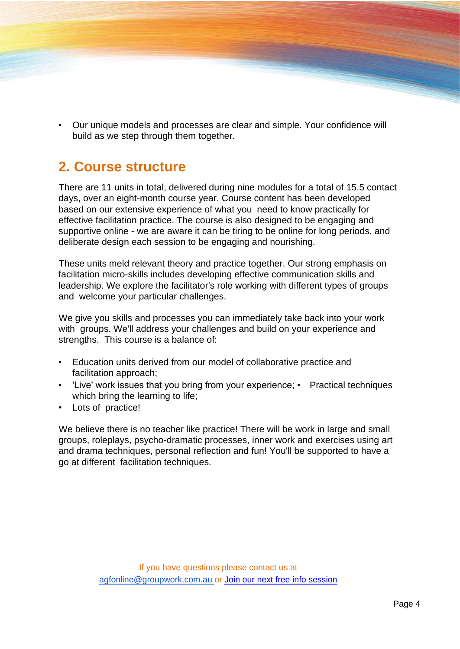• Our unique models and processes are clear and simple. Your confidence will build as we step through them together.

## **2. Course structure**

There are 11 units in total, delivered during nine modules for a total of 15.5 contact days, over an eight-month course year. Course content has been developed based on our extensive experience of what you need to know practically for effective facilitation practice. The course is also designed to be engaging and supportive online - we are aware it can be tiring to be online for long periods, and deliberate design each session to be engaging and nourishing.

These units meld relevant theory and practice together. Our strong emphasis on facilitation micro-skills includes developing effective communication skills and leadership. We explore the facilitator's role working with different types of groups and welcome your particular challenges.

We give you skills and processes you can immediately take back into your work with groups. We'll address your challenges and build on your experience and strengths. This course is a balance of:

- Education units derived from our model of collaborative practice and facilitation approach;
- 'Live' work issues that you bring from your experience; Practical techniques which bring the learning to life;
- Lots of practice!

We believe there is no teacher like practice! There will be work in large and small groups, roleplays, psycho-dramatic processes, inner work and exercises using art and drama techniques, personal reflection and fun! You'll be supported to have a go at different facilitation techniques.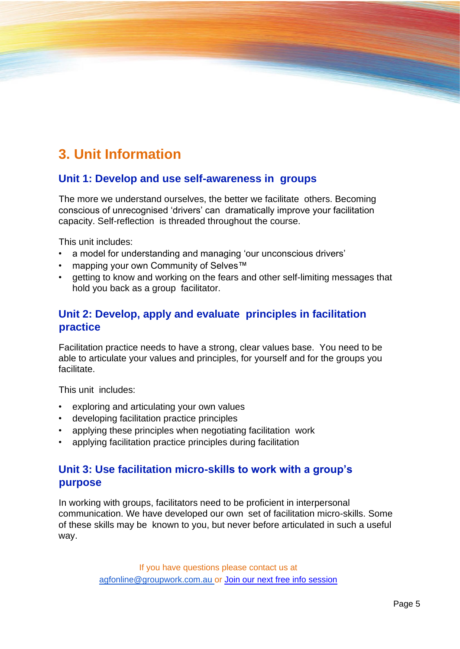## **3. Unit Information**

#### **Unit 1: Develop and use self-awareness in groups**

The more we understand ourselves, the better we facilitate others. Becoming conscious of unrecognised 'drivers' can dramatically improve your facilitation capacity. Self-reflection is threaded throughout the course.

This unit includes:

- a model for understanding and managing 'our unconscious drivers'
- mapping your own Community of Selves™
- getting to know and working on the fears and other self-limiting messages that hold you back as a group facilitator.

#### **Unit 2: Develop, apply and evaluate principles in facilitation practice**

Facilitation practice needs to have a strong, clear values base. You need to be able to articulate your values and principles, for yourself and for the groups you facilitate.

This unit includes:

- exploring and articulating your own values
- developing facilitation practice principles
- applying these principles when negotiating facilitation work
- applying facilitation practice principles during facilitation

#### **Unit 3: Use facilitation micro-skills to work with a group's purpose**

In working with groups, facilitators need to be proficient in interpersonal communication. We have developed our own set of facilitation micro-skills. Some of these skills may be known to you, but never before articulated in such a useful way.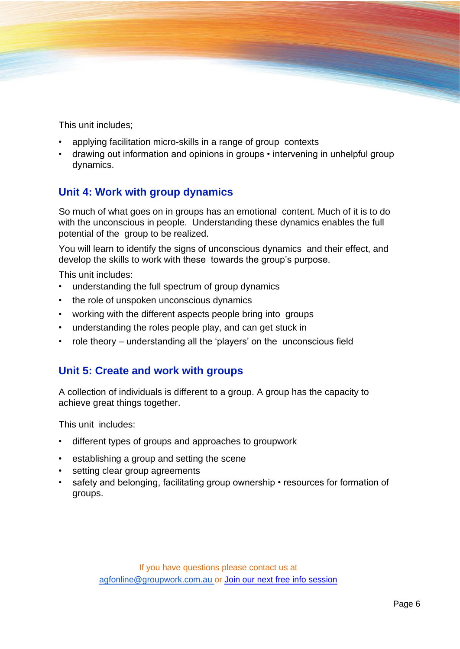This unit includes;

- applying facilitation micro-skills in a range of group contexts
- drawing out information and opinions in groups intervening in unhelpful group dynamics.

#### **Unit 4: Work with group dynamics**

So much of what goes on in groups has an emotional content. Much of it is to do with the unconscious in people. Understanding these dynamics enables the full potential of the group to be realized.

You will learn to identify the signs of unconscious dynamics and their effect, and develop the skills to work with these towards the group's purpose.

This unit includes:

- understanding the full spectrum of group dynamics
- the role of unspoken unconscious dynamics
- working with the different aspects people bring into groups
- understanding the roles people play, and can get stuck in
- role theory understanding all the 'players' on the unconscious field

#### **Unit 5: Create and work with groups**

A collection of individuals is different to a group. A group has the capacity to achieve great things together.

This unit includes:

- different types of groups and approaches to groupwork
- establishing a group and setting the scene
- setting clear group agreements
- safety and belonging, facilitating group ownership resources for formation of groups.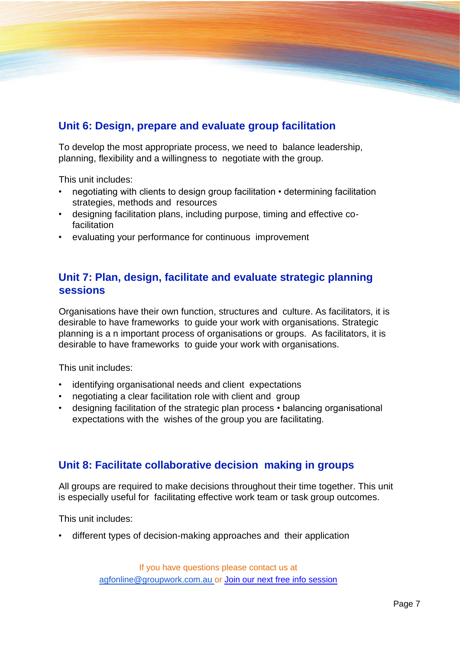#### **Unit 6: Design, prepare and evaluate group facilitation**

To develop the most appropriate process, we need to balance leadership, planning, flexibility and a willingness to negotiate with the group.

This unit includes:

- negotiating with clients to design group facilitation determining facilitation strategies, methods and resources
- designing facilitation plans, including purpose, timing and effective co**facilitation**
- evaluating your performance for continuous improvement

#### **Unit 7: Plan, design, facilitate and evaluate strategic planning sessions**

Organisations have their own function, structures and culture. As facilitators, it is desirable to have frameworks to guide your work with organisations. Strategic planning is a n important process of organisations or groups. As facilitators, it is desirable to have frameworks to guide your work with organisations.

This unit includes:

- identifying organisational needs and client expectations
- negotiating a clear facilitation role with client and group
- designing facilitation of the strategic plan process balancing organisational expectations with the wishes of the group you are facilitating.

#### **Unit 8: Facilitate collaborative decision making in groups**

All groups are required to make decisions throughout their time together. This unit is especially useful for facilitating effective work team or task group outcomes.

This unit includes:

• different types of decision-making approaches and their application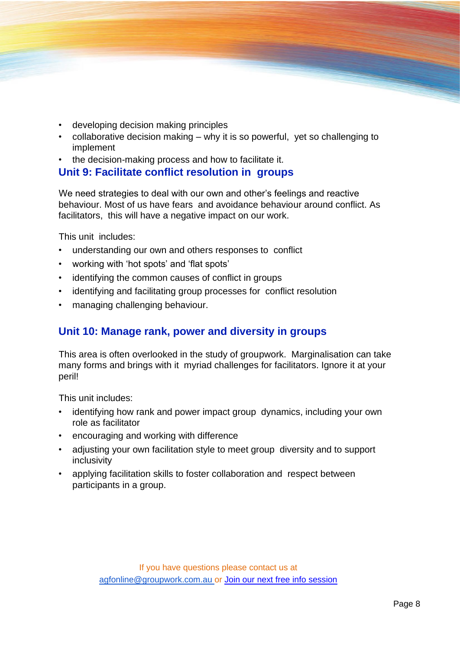- developing decision making principles
- collaborative decision making why it is so powerful, yet so challenging to implement
- the decision-making process and how to facilitate it.

#### **Unit 9: Facilitate conflict resolution in groups**

We need strategies to deal with our own and other's feelings and reactive behaviour. Most of us have fears and avoidance behaviour around conflict. As facilitators, this will have a negative impact on our work.

This unit includes:

- understanding our own and others responses to conflict
- working with 'hot spots' and 'flat spots'
- identifying the common causes of conflict in groups
- identifying and facilitating group processes for conflict resolution
- managing challenging behaviour.

#### **Unit 10: Manage rank, power and diversity in groups**

This area is often overlooked in the study of groupwork. Marginalisation can take many forms and brings with it myriad challenges for facilitators. Ignore it at your peril!

This unit includes:

- identifying how rank and power impact group dynamics, including your own role as facilitator
- encouraging and working with difference
- adjusting your own facilitation style to meet group diversity and to support inclusivity
- applying facilitation skills to foster collaboration and respect between participants in a group.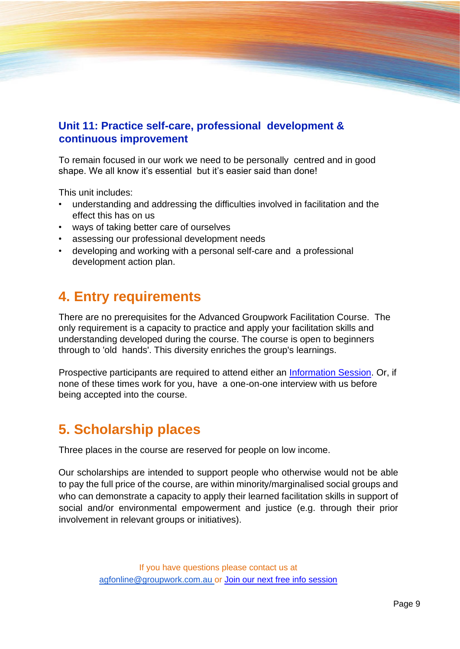#### **Unit 11: Practice self-care, professional development & continuous improvement**

To remain focused in our work we need to be personally centred and in good shape. We all know it's essential but it's easier said than done!

This unit includes:

- understanding and addressing the difficulties involved in facilitation and the effect this has on us
- ways of taking better care of ourselves
- assessing our professional development needs
- developing and working with a personal self-care and a professional development action plan.

## **4. Entry requirements**

There are no prerequisites for the Advanced Groupwork Facilitation Course. The only requirement is a capacity to practice and apply your facilitation skills and understanding developed during the course. The course is open to beginners through to 'old hands'. This diversity enriches the group's learnings.

Prospective participants are required to attend either an [Information Session.](https://groupwork.com.au/courses-training-services/info-sessions-adv-group-facilitation-program/) Or, if none of these times work for you, have a one-on-one interview with us before being accepted into the course.

## **5. Scholarship places**

Three places in the course are reserved for people on low income.

Our scholarships are intended to support people who otherwise would not be able to pay the full price of the course, are within minority/marginalised social groups and who can demonstrate a capacity to apply their learned facilitation skills in support of social and/or environmental empowerment and justice (e.g. through their prior involvement in relevant groups or initiatives).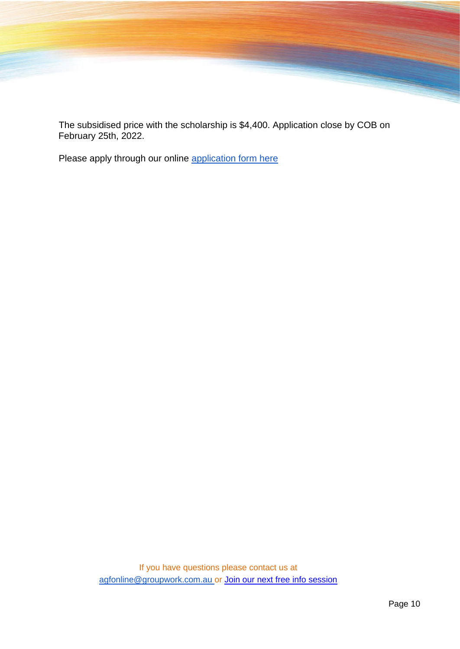The subsidised price with the scholarship is \$4,400. Application close by COB on February 25th, 2022.

Please apply through our online [application form here](https://docs.google.com/forms/d/e/1FAIpQLSfXr2l1M_eb9kPGMBNUzw5qfdLqImAhWw-1qaRFFtKNBosL5g/viewform)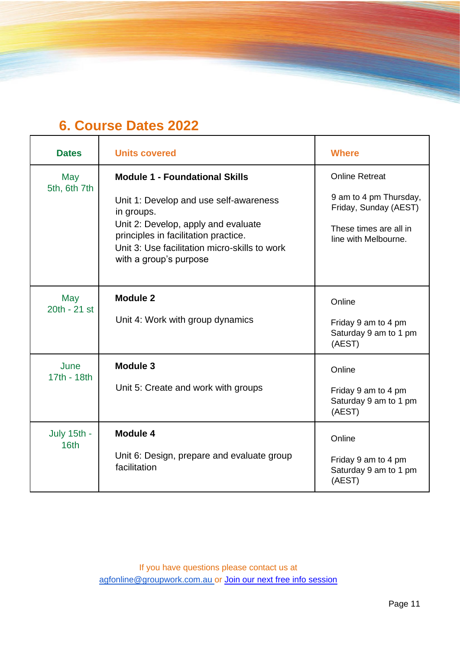## **6. Course Dates 2022**

| <b>Dates</b>        | <b>Units covered</b>                                                                                                                                                                                                                                    | <b>Where</b>                                                                                                               |
|---------------------|---------------------------------------------------------------------------------------------------------------------------------------------------------------------------------------------------------------------------------------------------------|----------------------------------------------------------------------------------------------------------------------------|
| May<br>5th, 6th 7th | <b>Module 1 - Foundational Skills</b><br>Unit 1: Develop and use self-awareness<br>in groups.<br>Unit 2: Develop, apply and evaluate<br>principles in facilitation practice.<br>Unit 3: Use facilitation micro-skills to work<br>with a group's purpose | <b>Online Retreat</b><br>9 am to 4 pm Thursday,<br>Friday, Sunday (AEST)<br>These times are all in<br>line with Melbourne. |
| May<br>20th - 21 st | <b>Module 2</b><br>Unit 4: Work with group dynamics                                                                                                                                                                                                     | Online<br>Friday 9 am to 4 pm<br>Saturday 9 am to 1 pm<br>(AEST)                                                           |
| June<br>17th - 18th | <b>Module 3</b><br>Unit 5: Create and work with groups                                                                                                                                                                                                  | Online<br>Friday 9 am to 4 pm<br>Saturday 9 am to 1 pm<br>(AEST)                                                           |
| July 15th -<br>16th | Module 4<br>Unit 6: Design, prepare and evaluate group<br>facilitation                                                                                                                                                                                  | Online<br>Friday 9 am to 4 pm<br>Saturday 9 am to 1 pm<br>(AEST)                                                           |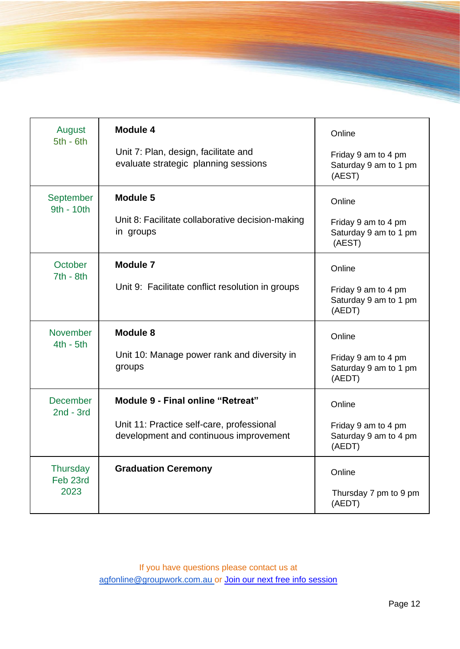| August<br>$5th - 6th$               | Module 4<br>Unit 7: Plan, design, facilitate and<br>evaluate strategic planning sessions                                 | Online<br>Friday 9 am to 4 pm<br>Saturday 9 am to 1 pm<br>(AEST) |
|-------------------------------------|--------------------------------------------------------------------------------------------------------------------------|------------------------------------------------------------------|
| September<br>9th - 10th             | <b>Module 5</b><br>Unit 8: Facilitate collaborative decision-making<br>in groups                                         | Online<br>Friday 9 am to 4 pm<br>Saturday 9 am to 1 pm<br>(AEST) |
| October<br>$7th - 8th$              | <b>Module 7</b><br>Unit 9: Facilitate conflict resolution in groups                                                      | Online<br>Friday 9 am to 4 pm<br>Saturday 9 am to 1 pm<br>(AEDT) |
| <b>November</b><br>$4th - 5th$      | Module 8<br>Unit 10: Manage power rank and diversity in<br>groups                                                        | Online<br>Friday 9 am to 4 pm<br>Saturday 9 am to 1 pm<br>(AEDT) |
| <b>December</b><br>$2nd - 3rd$      | Module 9 - Final online "Retreat"<br>Unit 11: Practice self-care, professional<br>development and continuous improvement | Online<br>Friday 9 am to 4 pm<br>Saturday 9 am to 4 pm<br>(AEDT) |
| <b>Thursday</b><br>Feb 23rd<br>2023 | <b>Graduation Ceremony</b>                                                                                               | Online<br>Thursday 7 pm to 9 pm<br>(AEDT)                        |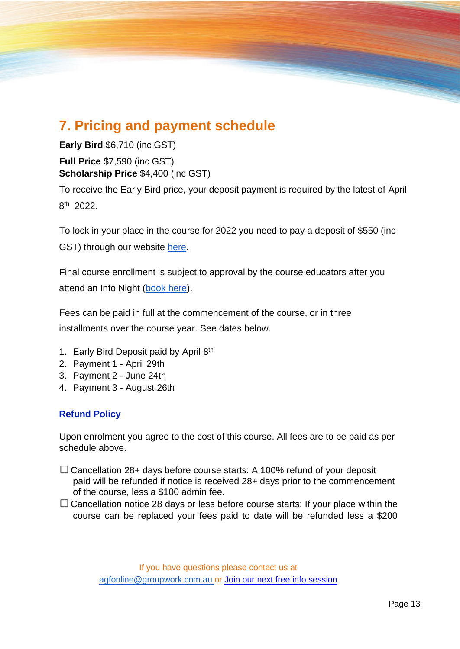## **7. Pricing and payment schedule**

**Early Bird** \$6,710 (inc GST) **Full Price** \$7,590 (inc GST) **Scholarship Price** \$4,400 (inc GST)

To receive the Early Bird price, your deposit payment is required by the latest of April 8 th 2022.

To lock in your place in the course for 2022 you need to pay a deposit of \$550 (inc GST) through our website [here.](https://groupwork.com.au/courses/advanced-group-facilitation/)

Final course enrollment is subject to approval by the course educators after you attend an Info Night [\(book here\)](https://groupwork.com.au/courses-training-services/info-sessions-adv-group-facilitation-program/).

Fees can be paid in full at the commencement of the course, or in three installments over the course year. See dates below.

- 1. Early Bird Deposit paid by April 8th
- 2. Payment 1 April 29th
- 3. Payment 2 June 24th
- 4. Payment 3 August 26th

#### **Refund Policy**

Upon enrolment you agree to the cost of this course. All fees are to be paid as per schedule above.

- $\Box$  Cancellation 28+ days before course starts: A 100% refund of your deposit paid will be refunded if notice is received 28+ days prior to the commencement of the course, less a \$100 admin fee.
- $\Box$  Cancellation notice 28 days or less before course starts: If your place within the course can be replaced your fees paid to date will be refunded less a \$200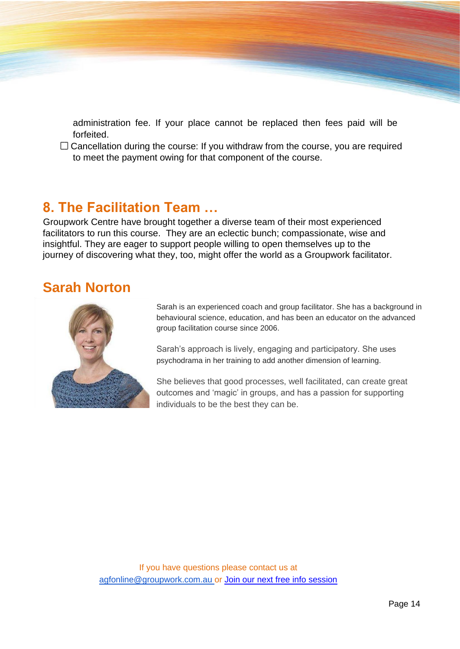administration fee. If your place cannot be replaced then fees paid will be forfeited.

 $\Box$  Cancellation during the course: If you withdraw from the course, you are required to meet the payment owing for that component of the course.

## **8. The Facilitation Team …**

Groupwork Centre have brought together a diverse team of their most experienced facilitators to run this course. They are an eclectic bunch; compassionate, wise and insightful. They are eager to support people willing to open themselves up to the journey of discovering what they, too, might offer the world as a Groupwork facilitator.

## **Sarah Norton**



Sarah is an experienced coach and group facilitator. She has a background in behavioural science, education, and has been an educator on the advanced group facilitation course since 2006.

Sarah's approach is lively, engaging and participatory. She uses psychodrama in her training to add another dimension of learning.

She believes that good processes, well facilitated, can create great outcomes and 'magic' in groups, and has a passion for supporting individuals to be the best they can be.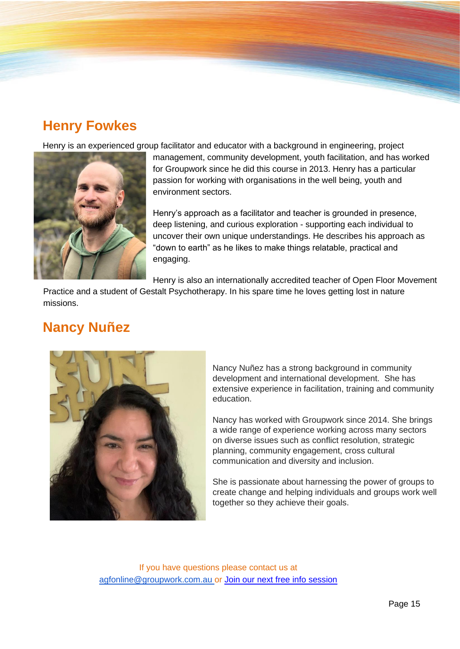## **Henry Fowkes**

Henry is an experienced group facilitator and educator with a background in engineering, project



management, community development, youth facilitation, and has worked for Groupwork since he did this course in 2013. Henry has a particular passion for working with organisations in the well being, youth and environment sectors.

Henry's approach as a facilitator and teacher is grounded in presence, deep listening, and curious exploration - supporting each individual to uncover their own unique understandings. He describes his approach as "down to earth" as he likes to make things relatable, practical and engaging.

Henry is also an internationally accredited teacher of Open Floor Movement

Practice and a student of Gestalt Psychotherapy. In his spare time he loves getting lost in nature missions.

## **Nancy Nuñez**



Nancy Nuñez has a strong background in community development and international development. She has extensive experience in facilitation, training and community education.

Nancy has worked with Groupwork since 2014. She brings a wide range of experience working across many sectors on diverse issues such as conflict resolution, strategic planning, community engagement, cross cultural communication and diversity and inclusion.

She is passionate about harnessing the power of groups to create change and helping individuals and groups work well together so they achieve their goals.